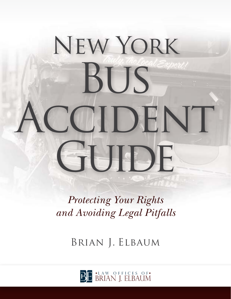# New York **BUS** CCIDENT GUIDE

*Protecting Your Rights and Avoiding Legal Pitfalls*

Brian J. Elbaum

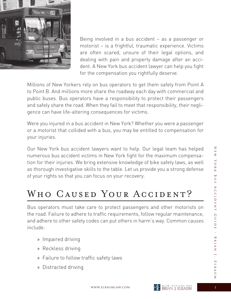

Being involved in a bus accident – as a passenger or motorist – is a frightful, traumatic experience. Victims are often scared, unsure of their legal options, and dealing with pain and property damage after an accident. A New York bus accident lawyer can help you fight for the compensation you rightfully deserve.

Millions of New Yorkers rely on bus operators to get them safely from Point A to Point B. And millions more share the roadway each day with commercial and public buses. Bus operators have a responsibility to protect their passengers and safely share the road. When they fail to meet that responsibility, their negligence can have life-altering consequences for victims.

Were you injured in a bus accident in New York? Whether you were a passenger or a motorist that collided with a bus, you may be entitled to compensation for your injuries.

Our New York bus accident lawyers want to help. Our legal team has helped numerous bus accident victims in New York fight for the maximum compensation for their injuries. We bring extensive knowledge of bike safety laws, as well as thorough investigative skills to the table. Let us provide you a strong defense of your rights so that you can focus on your recovery.

# WHO CAUSED YOUR ACCIDENT?

Bus operators must take care to protect passengers and other motorists on the road. Failure to adhere to traffic requirements, follow regular maintenance, and adhere to other safety codes can put others in harm's way. Common causes include:

- » Impaired driving
- » Reckless driving
- » Failure to follow traffic safety laws
- » Distracted driving

 $\overline{Z}$ 

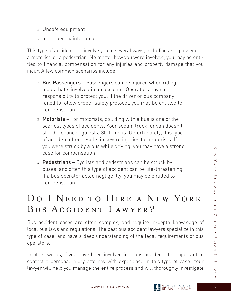- » Unsafe equipment
- » Improper maintenance

This type of accident can involve you in several ways, including as a passenger, a motorist, or a pedestrian. No matter how you were involved, you may be entitled to financial compensation for any injuries and property damage that you incur. A few common scenarios include:

- » Bus Passengers Passengers can be injured when riding a bus that's involved in an accident. Operators have a responsibility to protect you. If the driver or bus company failed to follow proper safety protocol, you may be entitled to compensation.
- » Motorists For motorists, colliding with a bus is one of the scariest types of accidents. Your sedan, truck, or van doesn't stand a chance against a 30-ton bus. Unfortunately, this type of accident often results in severe injuries for motorists. If you were struck by a bus while driving, you may have a strong case for compensation.
- » Pedestrians Cyclists and pedestrians can be struck by buses, and often this type of accident can be life-threatening. If a bus operator acted negligently, you may be entitled to compensation.

## Do I Need to Hire a New York Bus Accident Lawyer?

Bus accident cases are often complex, and require in-depth knowledge of local bus laws and regulations. The best bus accident lawyers specialize in this type of case, and have a deep understanding of the legal requirements of bus operators.

In other words, if you have been involved in a bus accident, it's important to contact a personal injury attorney with experience in this type of case. Your lawyer will help you manage the entire process and will thoroughly investigate

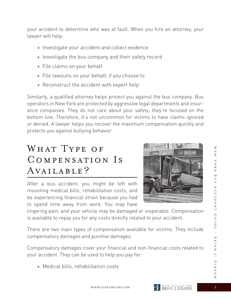your accident to determine who was at fault. When you hire an attorney, your lawyer will help:

- » Investigate your accident and collect evidence
- » Investigate the bus company and their safety record
- » File claims on your behalf
- » File lawsuits on your behalf, if you choose to
- » Reconstruct the accident with expert help

Similarly, a qualified attorney helps protect you against the bus company. Bus operators in New York are protected by aggressive legal departments and insurance companies. They do not care about your safety; they're focused on the bottom line. Therefore, it's not uncommon for victims to have claims ignored or denied. A lawyer helps you recover the maximum compensation quickly and protects you against bullying behavior.

## WHAT TYPE OF Compensation Is AVAILABLE?

After a bus accident, you might be left with mounting medical bills, rehabilitation costs, and be experiencing financial strain because you had to spend time away from work. You may have



lingering pain, and your vehicle may be damaged or inoperable. Compensation is available to repay you for any costs directly related to your accident.

There are two main types of compensation available for victims. They include compensatory damages and punitive damages.

Compensatory damages cover your financial and non-financial costs related to your accident. They can be used to help you pay for:

» Medical bills, rehabilitation costs

 $\overline{Z}$ 



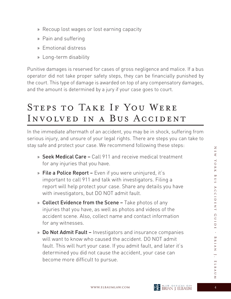- » Recoup lost wages or lost earning capacity
- » Pain and suffering
- » Emotional distress
- » Long-term disability

Punitive damages is reserved for cases of gross negligence and malice. If a bus operator did not take proper safety steps, they can be financially punished by the court. This type of damage is awarded on top of any compensatory damages, and the amount is determined by a jury if your case goes to court.

## Steps to Take If You Were Involved in a Bus Accident

In the immediate aftermath of an accident, you may be in shock, suffering from serious injury, and unsure of your legal rights. There are steps you can take to stay safe and protect your case. We recommend following these steps:

- » Seek Medical Care Call 911 and receive medical treatment for any injuries that you have.
- » File a Police Report Even if you were uninjured, it's important to call 911 and talk with investigators. Filing a report will help protect your case. Share any details you have with investigators, but DO NOT admit fault.
- » Collect Evidence from the Scene Take photos of any injuries that you have, as well as photos and videos of the accident scene. Also, collect name and contact information for any witnesses.
- » Do Not Admit Fault Investigators and insurance companies will want to know who caused the accident. DO NOT admit fault. This will hurt your case. If you admit fault, and later it's determined you did not cause the accident, your case can become more difficult to pursue.

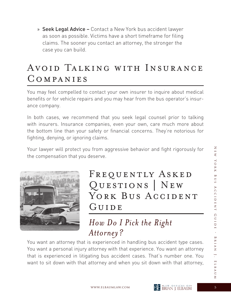» Seek Legal Advice – Contact a New York bus accident lawyer as soon as possible. Victims have a short timeframe for filing claims. The sooner you contact an attorney, the stronger the case you can build.

## Avoid Talking with Insurance Companies

You may feel compelled to contact your own insurer to inquire about medical benefits or for vehicle repairs and you may hear from the bus operator's insurance company.

In both cases, we recommend that you seek legal counsel prior to talking with insurers. Insurance companies, even your own, care much more about the bottom line than your safety or financial concerns. They're notorious for fighting, denying, or ignoring claims.

Your lawyer will protect you from aggressive behavior and fight rigorously for the compensation that you deserve.



## FREQUENTLY ASKED Questions | New YORK BUS ACCIDENT GUIDE

## *How Do I Pick the Right Attorney?*

You want an attorney that is experienced in handling bus accident type cases. You want a personal injury attorney with that experience. You want an attorney that is experienced in litigating bus accident cases. That's number one. You want to sit down with that attorney and when you sit down with that attorney,

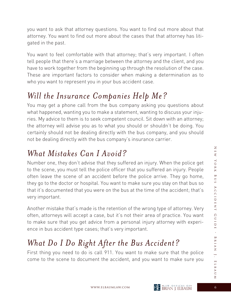you want to ask that attorney questions. You want to find out more about that attorney. You want to find out more about the cases that that attorney has litigated in the past.

You want to feel comfortable with that attorney; that's very important. I often tell people that there's a marriage between the attorney and the client, and you have to work together from the beginning up through the resolution of the case. These are important factors to consider when making a determination as to who you want to represent you in your bus accident case.

#### *Will the Insurance Companies Help Me?*

You may get a phone call from the bus company asking you questions about what happened, wanting you to make a statement, wanting to discuss your injuries. My advice to them is to seek competent council. Sit down with an attorney; the attorney will advise you as to what you should or shouldn't be doing. You certainly should not be dealing directly with the bus company, and you should not be dealing directly with the bus company's insurance carrier.

#### *What Mistakes Can I Avoid?*

Number one, they don't advise that they suffered an injury. When the police get to the scene, you must tell the police officer that you suffered an injury. People often leave the scene of an accident before the police arrive. They go home, they go to the doctor or hospital. You want to make sure you stay on that bus so that it's documented that you were on the bus at the time of the accident; that's very important.

Another mistake that's made is the retention of the wrong type of attorney. Very often, attorneys will accept a case, but it's not their area of practice. You want to make sure that you get advice from a personal injury attorney with experience in bus accident type cases; that's very important.

## *What Do I Do Right After the Bus Accident?*

First thing you need to do is call 911. You want to make sure that the police come to the scene to document the accident, and you want to make sure you

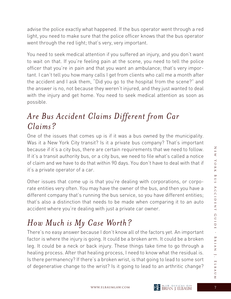advise the police exactly what happened. If the bus operator went through a red light, you need to make sure that the police officer knows that the bus operator went through the red light; that's very, very important.

You need to seek medical attention if you suffered an injury, and you don't want to wait on that. If you're feeling pain at the scene, you need to tell the police officer that you're in pain and that you want an ambulance; that's very important. I can't tell you how many calls I get from clients who call me a month after the accident and I ask them, "Did you go to the hospital from the scene?" and the answer is no, not because they weren't injured, and they just wanted to deal with the injury and get home. You need to seek medical attention as soon as possible.

#### *Are Bus Accident Claims Different from Car Claims?*

One of the issues that comes up is if it was a bus owned by the municipality. Was it a New York City transit? Is it a private bus company? That's important because if it's a city bus, there are certain requirements that we need to follow. If it's a transit authority bus, or a city bus, we need to file what's called a notice of claim and we have to do that within 90 days. You don't have to deal with that if it's a private operator of a car.

Other issues that come up is that you're dealing with corporations, or corporate entities very often. You may have the owner of the bus, and then you have a different company that's running the bus service, so you have different entities; that's also a distinction that needs to be made when comparing it to an auto accident where you're dealing with just a private car owner.

#### *How Much is My Case Worth?*

There's no easy answer because I don't know all of the factors yet. An important factor is where the injury is going. It could be a broken arm. It could be a broken leg. It could be a neck or back injury. These things take time to go through a healing process. After that healing process, I need to know what the residual is. Is there permanency? If there's a broken wrist, is that going to lead to some sort of degenerative change to the wrist? Is it going to lead to an arthritic change?

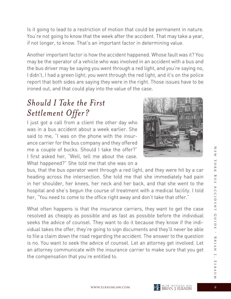the bus driver may be saying you went through a red light, and you're saying no, I didn't, I had a green light; you went through the red light, and it's on the police report that both sides are saying they were in the right. Those issues have to be

#### *Should I Take the First Settlement Offer?*

I just got a call from a client the other day who was in a bus accident about a week earlier. She said to me, "I was on the phone with the insurance carrier for the bus company and they offered me a couple of bucks. Should I take the offer?" I first asked her, "Well, tell me about the case. What happened?" She told me that she was on a

ironed out, and that could play into the value of the case.

bus, that the bus operator went through a red light, and they were hit by a car heading across the intersection. She told me that she immediately had pain in her shoulder, her knees, her neck and her back, and that she went to the hospital and she's begun the course of treatment with a medical facility. I told her, "You need to come to the office right away and don't take that offer."

Is it going to lead to a restriction of motion that could be permanent in nature. You're not going to know that the week after the accident. That may take a year,

Another important factor is how the accident happened. Whose fault was it? You may be the operator of a vehicle who was involved in an accident with a bus and

if not longer, to know. That's an important factor in determining value.

What often happens is that the insurance carriers, they want to get the case resolved as cheaply as possible and as fast as possible before the individual seeks the advice of counsel. They want to do it because they know if the individual takes the offer, they're going to sign documents and they'll never be able to file a claim down the road regarding the accident. The answer to the question is no. You want to seek the advice of counsel. Let an attorney get involved. Let an attorney communicate with the insurance carrier to make sure that you get the compensation that you're entitled to.



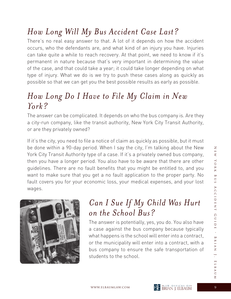#### *How Long Will My Bus Accident Case Last?*

There's no real easy answer to that. A lot of it depends on how the accident occurs, who the defendants are, and what kind of an injury you have. Injuries can take quite a while to reach recovery. At that point, we need to know if it's permanent in nature because that's very important in determining the value of the case, and that could take a year; it could take longer depending on what type of injury. What we do is we try to push these cases along as quickly as possible so that we can get you the best possible results as early as possible.

#### *How Long Do I Have to File My Claim in New York?*

The answer can be complicated. It depends on who the bus company is. Are they a city-run company, like the transit authority, New York City Transit Authority, or are they privately owned?

If it's the city, you need to file a notice of claim as quickly as possible, but it must be done within a 90-day period. When I say the city, I'm talking about the New York City Transit Authority type of a case. If it's a privately owned bus company, then you have a longer period. You also have to be aware that there are other guidelines. There are no fault benefits that you might be entitled to, and you want to make sure that you get a no fault application to the proper party. No fault covers you for your economic loss, your medical expenses, and your lost wages.



## *Can I Sue If My Child Was Hurt on the School Bus?*

The answer is potentially, yes, you do. You also have a case against the bus company because typically what happens is the school will enter into a contract, or the municipality will enter into a contract, with a bus company to ensure the safe transportation of students to the school.





 $\overline{\le}$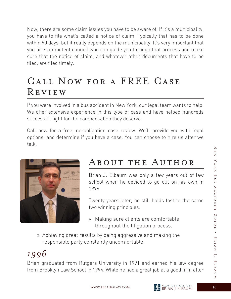Now, there are some claim issues you have to be aware of. If it's a municipality, you have to file what's called a notice of claim. Typically that has to be done within 90 days, but it really depends on the municipality. It's very important that you hire competent council who can guide you through that process and make sure that the notice of claim, and whatever other documents that have to be filed, are filed timely.

## Call Now for a FREE Case Review

If you were involved in a bus accident in New York, our legal team wants to help. We offer extensive experience in this type of case and have helped hundreds successful fight for the compensation they deserve.

Call now for a free, no-obligation case review. We'll provide you with legal options, and determine if you have a case. You can choose to hire us after we talk.



## About the Author

Brian J. Elbaum was only a few years out of law school when he decided to go out on his own in 1996.

 Twenty years later, he still holds fast to the same two winning principles:

- » Making sure clients are comfortable throughout the litigation process.
- » Achieving great results by being aggressive and making the responsible party constantly uncomfortable.

# *1996*

Brian graduated from Rutgers University in 1991 and earned his law degree from Brooklyn Law School in 1994. While he had a great job at a good firm after

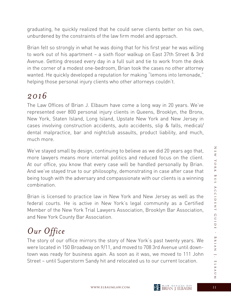graduating, he quickly realized that he could serve clients better on his own, unburdened by the constraints of the law firm model and approach.

Brian felt so strongly in what he was doing that for his first year he was willing to work out of his apartment – a sixth floor walkup on East 37th Street & 3rd Avenue. Getting dressed every day in a full suit and tie to work from the desk in the corner of a modest one-bedroom, Brian took the cases no other attorney wanted. He quickly developed a reputation for making "lemons into lemonade," helping those personal injury clients who other attorneys couldn't.

#### *2016*

The Law Offices of Brian J. Elbaum have come a long way in 20 years. We've represented over 800 personal injury clients in Queens, Brooklyn, the Bronx, New York, Staten Island, Long Island, Upstate New York and New Jersey in cases involving construction accidents, auto accidents, slip & falls, medical/ dental malpractice, bar and nightclub assaults, product liability, and much, much more.

We've stayed small by design, continuing to believe as we did 20 years ago that, more lawyers means more internal politics and reduced focus on the client. At our office, you know that every case will be handled personally by Brian. And we've stayed true to our philosophy, demonstrating in case after case that being tough with the adversary and compassionate with our clients is a winning combination.

Brian is licensed to practice law in New York and New Jersey as well as the federal courts. He is active in New York's legal community as a Certified Member of the New York Trial Lawyers Association, Brooklyn Bar Association, and New York County Bar Association.

# *Our Office*

The story of our office mirrors the story of New York's past twenty years. We were located in 150 Broadway on 9/11, and moved to 708 3rd Avenue until downtown was ready for business again. As soon as it was, we moved to 111 John Street – until Superstorm Sandy hit and relocated us to our current location.

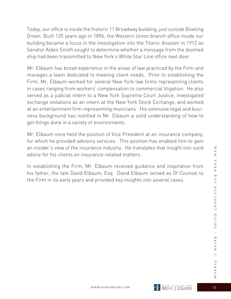Today, our office is inside the historic 11 Broadway building, just outside Bowling Green. Built 120 years ago in 1896, the Western Union branch office inside our building became a focus in the investigation into the Titanic disaster in 1912 as Senator Alden Smith sought to determine whether a message from the doomed ship had been transmitted to New York's White Star Line office next door.

Mr. Elbaum has broad experience in the areas of law practiced by the Firm and manages a team dedicated to meeting client needs. Prior to establishing the Firm, Mr. Elbaum worked for several New York law firms representing clients in cases ranging from workers' compensation to commercial litigation. He also served as a judicial intern to a New York Supreme Court Justice, investigated exchange violations as an intern at the New York Stock Exchange, and worked at an entertainment firm representing musicians. His extensive legal and business background has instilled in Mr. Elbaum a solid understanding of how to get things done in a variety of environments.

Mr. Elbaum once held the position of Vice President at an insurance company, for which he provided advisory services. This position has enabled him to gain an insider's view of the insurance industry. He translates that insight into solid advice for his clients on insurance-related matters.

In establishing the Firm, Mr. Elbaum received guidance and inspiration from his father, the late David Elbaum, Esq. David Elbaum served as Of Counsel to the Firm in its early years and provided key insights into several cases.